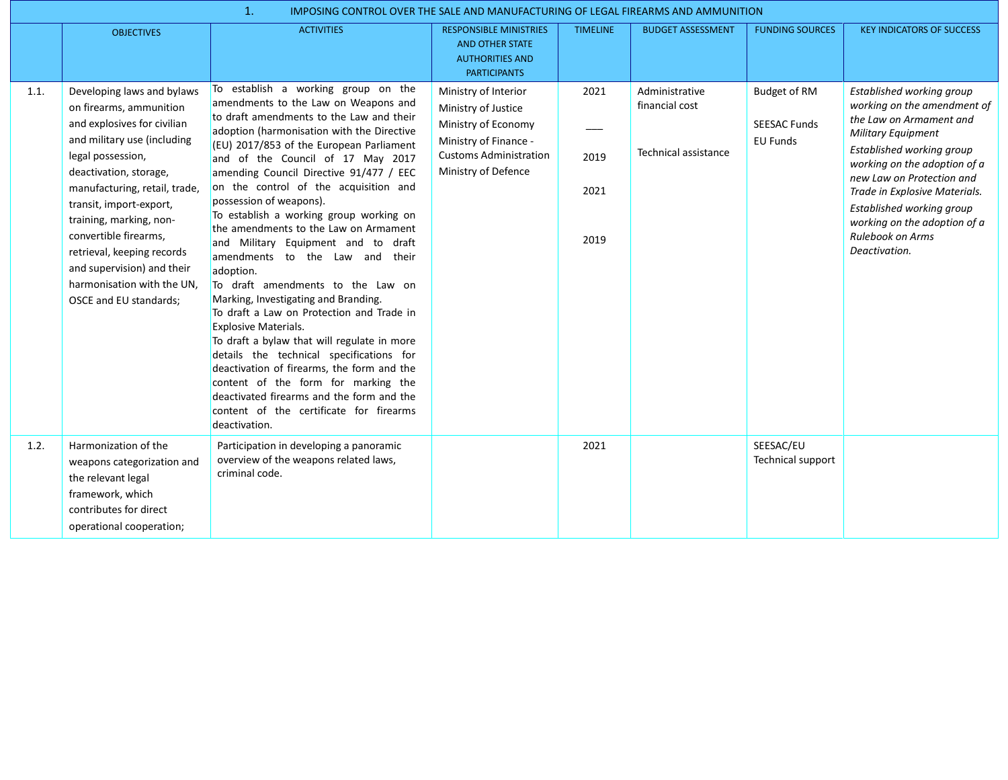|      | 1.<br>IMPOSING CONTROL OVER THE SALE AND MANUFACTURING OF LEGAL FIREARMS AND AMMUNITION                                                                                                                                                                                                                                                                                                                |                                                                                                                                                                                                                                                                                                                                                                                                                                                                                                                                                                                                                                                                                                                                                                                                                                                                                                                                                                                                    |                                                                                                                                                     |                              |                                                          |                                                               |                                                                                                                                                                                                                                                                                                                                                      |  |  |
|------|--------------------------------------------------------------------------------------------------------------------------------------------------------------------------------------------------------------------------------------------------------------------------------------------------------------------------------------------------------------------------------------------------------|----------------------------------------------------------------------------------------------------------------------------------------------------------------------------------------------------------------------------------------------------------------------------------------------------------------------------------------------------------------------------------------------------------------------------------------------------------------------------------------------------------------------------------------------------------------------------------------------------------------------------------------------------------------------------------------------------------------------------------------------------------------------------------------------------------------------------------------------------------------------------------------------------------------------------------------------------------------------------------------------------|-----------------------------------------------------------------------------------------------------------------------------------------------------|------------------------------|----------------------------------------------------------|---------------------------------------------------------------|------------------------------------------------------------------------------------------------------------------------------------------------------------------------------------------------------------------------------------------------------------------------------------------------------------------------------------------------------|--|--|
|      | <b>OBJECTIVES</b>                                                                                                                                                                                                                                                                                                                                                                                      | <b>ACTIVITIES</b>                                                                                                                                                                                                                                                                                                                                                                                                                                                                                                                                                                                                                                                                                                                                                                                                                                                                                                                                                                                  | <b>RESPONSIBLE MINISTRIES</b><br>AND OTHER STATE<br><b>AUTHORITIES AND</b><br><b>PARTICIPANTS</b>                                                   | <b>TIMELINE</b>              | <b>BUDGET ASSESSMENT</b>                                 | <b>FUNDING SOURCES</b>                                        | <b>KEY INDICATORS OF SUCCESS</b>                                                                                                                                                                                                                                                                                                                     |  |  |
| 1.1. | Developing laws and bylaws<br>on firearms, ammunition<br>and explosives for civilian<br>and military use (including<br>legal possession,<br>deactivation, storage,<br>manufacturing, retail, trade,<br>transit, import-export,<br>training, marking, non-<br>convertible firearms.<br>retrieval, keeping records<br>and supervision) and their<br>harmonisation with the UN.<br>OSCE and EU standards; | To establish a working group on the<br>amendments to the Law on Weapons and<br>to draft amendments to the Law and their<br>adoption (harmonisation with the Directive<br>(EU) 2017/853 of the European Parliament<br>and of the Council of 17 May 2017<br>amending Council Directive 91/477 / EEC<br>on the control of the acquisition and<br>possession of weapons).<br>To establish a working group working on<br>the amendments to the Law on Armament<br>and Military Equipment and to draft<br>amendments to the Law and their<br>adoption.<br>To draft amendments to the Law on<br>Marking, Investigating and Branding.<br>To draft a Law on Protection and Trade in<br><b>Explosive Materials.</b><br>To draft a bylaw that will regulate in more<br>details the technical specifications for<br>deactivation of firearms, the form and the<br>content of the form for marking the<br>deactivated firearms and the form and the<br>content of the certificate for firearms<br>deactivation. | Ministry of Interior<br>Ministry of Justice<br>Ministry of Economy<br>Ministry of Finance -<br><b>Customs Administration</b><br>Ministry of Defence | 2021<br>2019<br>2021<br>2019 | Administrative<br>financial cost<br>Technical assistance | <b>Budget of RM</b><br><b>SEESAC Funds</b><br><b>EU Funds</b> | Established working group<br>working on the amendment of<br>the Law on Armament and<br><b>Military Equipment</b><br>Established working group<br>working on the adoption of a<br>new Law on Protection and<br>Trade in Explosive Materials.<br>Established working group<br>working on the adoption of a<br><b>Rulebook on Arms</b><br>Deactivation. |  |  |
| 1.2. | Harmonization of the<br>weapons categorization and<br>the relevant legal<br>framework, which<br>contributes for direct<br>operational cooperation;                                                                                                                                                                                                                                                     | Participation in developing a panoramic<br>overview of the weapons related laws,<br>criminal code.                                                                                                                                                                                                                                                                                                                                                                                                                                                                                                                                                                                                                                                                                                                                                                                                                                                                                                 |                                                                                                                                                     | 2021                         |                                                          | SEESAC/EU<br>Technical support                                |                                                                                                                                                                                                                                                                                                                                                      |  |  |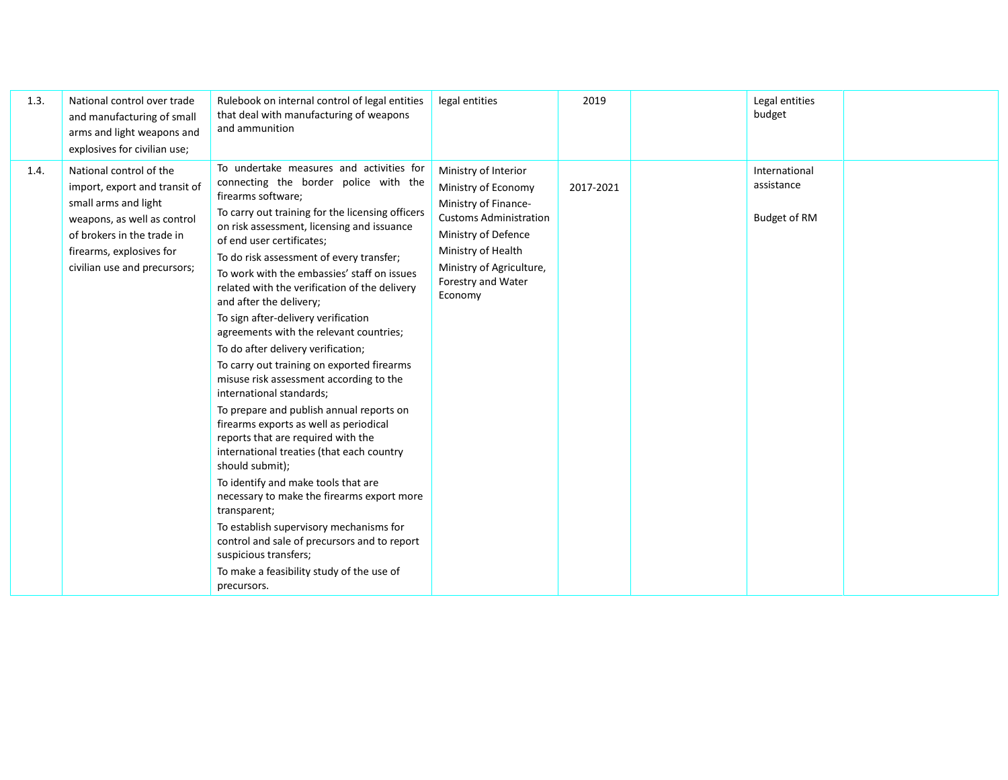| 1.3. | National control over trade<br>and manufacturing of small<br>arms and light weapons and<br>explosives for civilian use;                                                                                   | Rulebook on internal control of legal entities<br>that deal with manufacturing of weapons<br>and ammunition                                                                                                                                                                                                                                                                                                                                                                                                                                                                                                                                                                                                                                                                                                                                                                                                                                                                                                                                                                                                                                 | legal entities                                                                                                                                                                                                 | 2019      | Legal entities<br>budget                           |  |
|------|-----------------------------------------------------------------------------------------------------------------------------------------------------------------------------------------------------------|---------------------------------------------------------------------------------------------------------------------------------------------------------------------------------------------------------------------------------------------------------------------------------------------------------------------------------------------------------------------------------------------------------------------------------------------------------------------------------------------------------------------------------------------------------------------------------------------------------------------------------------------------------------------------------------------------------------------------------------------------------------------------------------------------------------------------------------------------------------------------------------------------------------------------------------------------------------------------------------------------------------------------------------------------------------------------------------------------------------------------------------------|----------------------------------------------------------------------------------------------------------------------------------------------------------------------------------------------------------------|-----------|----------------------------------------------------|--|
| 1.4. | National control of the<br>import, export and transit of<br>small arms and light<br>weapons, as well as control<br>of brokers in the trade in<br>firearms, explosives for<br>civilian use and precursors; | To undertake measures and activities for<br>connecting the border police with the<br>firearms software;<br>To carry out training for the licensing officers<br>on risk assessment, licensing and issuance<br>of end user certificates;<br>To do risk assessment of every transfer;<br>To work with the embassies' staff on issues<br>related with the verification of the delivery<br>and after the delivery;<br>To sign after-delivery verification<br>agreements with the relevant countries;<br>To do after delivery verification;<br>To carry out training on exported firearms<br>misuse risk assessment according to the<br>international standards;<br>To prepare and publish annual reports on<br>firearms exports as well as periodical<br>reports that are required with the<br>international treaties (that each country<br>should submit);<br>To identify and make tools that are<br>necessary to make the firearms export more<br>transparent;<br>To establish supervisory mechanisms for<br>control and sale of precursors and to report<br>suspicious transfers;<br>To make a feasibility study of the use of<br>precursors. | Ministry of Interior<br>Ministry of Economy<br>Ministry of Finance-<br><b>Customs Administration</b><br>Ministry of Defence<br>Ministry of Health<br>Ministry of Agriculture,<br>Forestry and Water<br>Economy | 2017-2021 | International<br>assistance<br><b>Budget of RM</b> |  |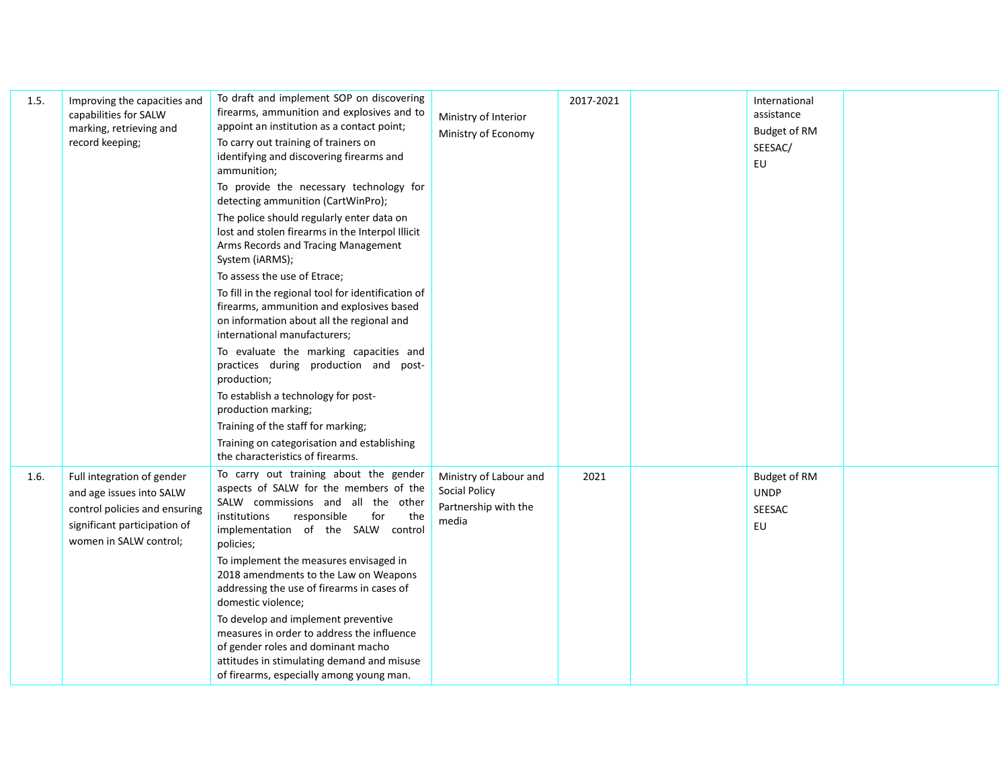| 1.5. | Improving the capacities and<br>capabilities for SALW<br>marking, retrieving and<br>record keeping;                                               | To draft and implement SOP on discovering<br>firearms, ammunition and explosives and to<br>appoint an institution as a contact point;<br>To carry out training of trainers on<br>identifying and discovering firearms and<br>ammunition;<br>To provide the necessary technology for<br>detecting ammunition (CartWinPro);<br>The police should regularly enter data on<br>lost and stolen firearms in the Interpol Illicit<br>Arms Records and Tracing Management<br>System (iARMS);<br>To assess the use of Etrace;<br>To fill in the regional tool for identification of<br>firearms, ammunition and explosives based<br>on information about all the regional and<br>international manufacturers;<br>To evaluate the marking capacities and<br>practices during production and post-<br>production;<br>To establish a technology for post-<br>production marking;<br>Training of the staff for marking;<br>Training on categorisation and establishing<br>the characteristics of firearms. | Ministry of Interior<br>Ministry of Economy                                     | 2017-2021 | International<br>assistance<br><b>Budget of RM</b><br>SEESAC/<br>EU |  |
|------|---------------------------------------------------------------------------------------------------------------------------------------------------|-----------------------------------------------------------------------------------------------------------------------------------------------------------------------------------------------------------------------------------------------------------------------------------------------------------------------------------------------------------------------------------------------------------------------------------------------------------------------------------------------------------------------------------------------------------------------------------------------------------------------------------------------------------------------------------------------------------------------------------------------------------------------------------------------------------------------------------------------------------------------------------------------------------------------------------------------------------------------------------------------|---------------------------------------------------------------------------------|-----------|---------------------------------------------------------------------|--|
| 1.6. | Full integration of gender<br>and age issues into SALW<br>control policies and ensuring<br>significant participation of<br>women in SALW control; | To carry out training about the gender<br>aspects of SALW for the members of the<br>SALW commissions and all the other<br>responsible<br>institutions<br>for<br>the<br>implementation of the SALW control<br>policies;<br>To implement the measures envisaged in<br>2018 amendments to the Law on Weapons<br>addressing the use of firearms in cases of<br>domestic violence;<br>To develop and implement preventive<br>measures in order to address the influence<br>of gender roles and dominant macho<br>attitudes in stimulating demand and misuse<br>of firearms, especially among young man.                                                                                                                                                                                                                                                                                                                                                                                            | Ministry of Labour and<br><b>Social Policy</b><br>Partnership with the<br>media | 2021      | <b>Budget of RM</b><br><b>UNDP</b><br>SEESAC<br>EU                  |  |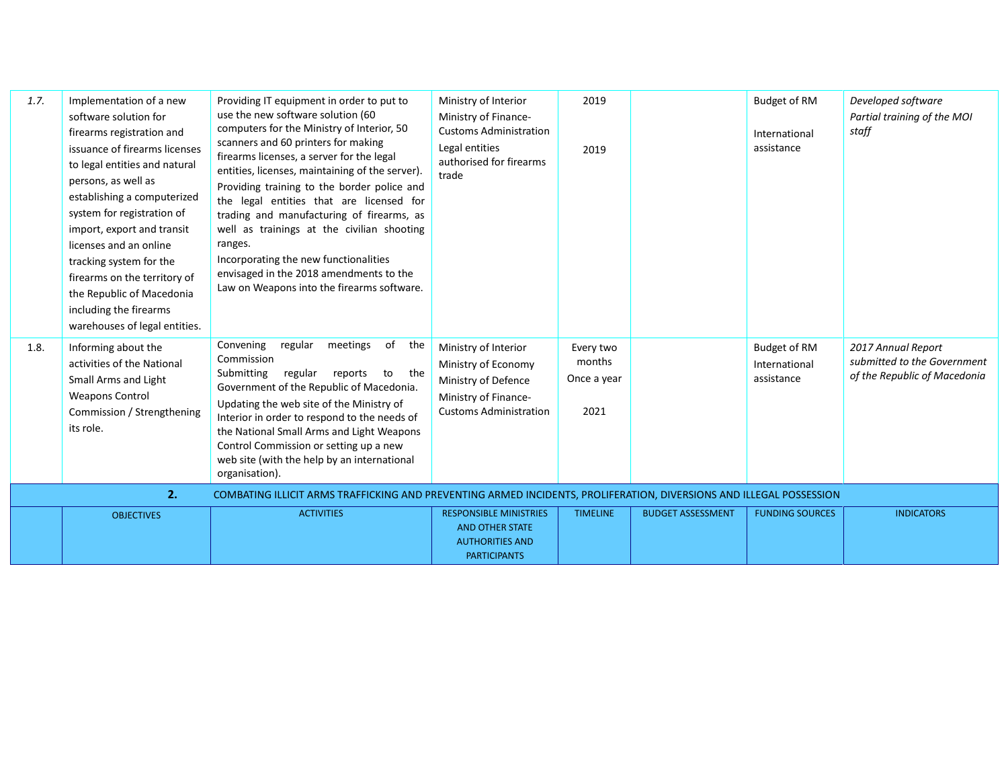| 1.7.<br>1.8. | Implementation of a new<br>software solution for<br>firearms registration and<br>issuance of firearms licenses<br>to legal entities and natural<br>persons, as well as<br>establishing a computerized<br>system for registration of<br>import, export and transit<br>licenses and an online<br>tracking system for the<br>firearms on the territory of<br>the Republic of Macedonia<br>including the firearms<br>warehouses of legal entities.<br>Informing about the | Providing IT equipment in order to put to<br>use the new software solution (60<br>computers for the Ministry of Interior, 50<br>scanners and 60 printers for making<br>firearms licenses, a server for the legal<br>entities, licenses, maintaining of the server).<br>Providing training to the border police and<br>the legal entities that are licensed for<br>trading and manufacturing of firearms, as<br>well as trainings at the civilian shooting<br>ranges.<br>Incorporating the new functionalities<br>envisaged in the 2018 amendments to the<br>Law on Weapons into the firearms software.<br>Convening<br>meetings<br>of<br>regular<br>the | Ministry of Interior<br>Ministry of Finance-<br><b>Customs Administration</b><br>Legal entities<br>authorised for firearms<br>trade<br>Ministry of Interior | 2019<br>2019<br>Every two     |                          | Budget of RM<br>International<br>assistance<br>Budget of RM | Developed software<br>Partial training of the MOI<br>staff<br>2017 Annual Report |
|--------------|-----------------------------------------------------------------------------------------------------------------------------------------------------------------------------------------------------------------------------------------------------------------------------------------------------------------------------------------------------------------------------------------------------------------------------------------------------------------------|---------------------------------------------------------------------------------------------------------------------------------------------------------------------------------------------------------------------------------------------------------------------------------------------------------------------------------------------------------------------------------------------------------------------------------------------------------------------------------------------------------------------------------------------------------------------------------------------------------------------------------------------------------|-------------------------------------------------------------------------------------------------------------------------------------------------------------|-------------------------------|--------------------------|-------------------------------------------------------------|----------------------------------------------------------------------------------|
|              | activities of the National<br>Small Arms and Light<br><b>Weapons Control</b><br>Commission / Strengthening<br>its role.                                                                                                                                                                                                                                                                                                                                               | Commission<br>Submitting<br>regular<br>to the<br>reports<br>Government of the Republic of Macedonia.<br>Updating the web site of the Ministry of<br>Interior in order to respond to the needs of<br>the National Small Arms and Light Weapons<br>Control Commission or setting up a new<br>web site (with the help by an international<br>organisation).                                                                                                                                                                                                                                                                                                | Ministry of Economy<br>Ministry of Defence<br>Ministry of Finance-<br><b>Customs Administration</b>                                                         | months<br>Once a year<br>2021 |                          | International<br>assistance                                 | submitted to the Government<br>of the Republic of Macedonia                      |
|              | 2.                                                                                                                                                                                                                                                                                                                                                                                                                                                                    | COMBATING ILLICIT ARMS TRAFFICKING AND PREVENTING ARMED INCIDENTS, PROLIFERATION, DIVERSIONS AND ILLEGAL POSSESSION                                                                                                                                                                                                                                                                                                                                                                                                                                                                                                                                     |                                                                                                                                                             |                               |                          |                                                             |                                                                                  |
|              | <b>OBJECTIVES</b>                                                                                                                                                                                                                                                                                                                                                                                                                                                     | <b>ACTIVITIES</b>                                                                                                                                                                                                                                                                                                                                                                                                                                                                                                                                                                                                                                       | <b>RESPONSIBLE MINISTRIES</b><br><b>AND OTHER STATE</b><br><b>AUTHORITIES AND</b><br><b>PARTICIPANTS</b>                                                    | <b>TIMELINE</b>               | <b>BUDGET ASSESSMENT</b> | <b>FUNDING SOURCES</b>                                      | <b>INDICATORS</b>                                                                |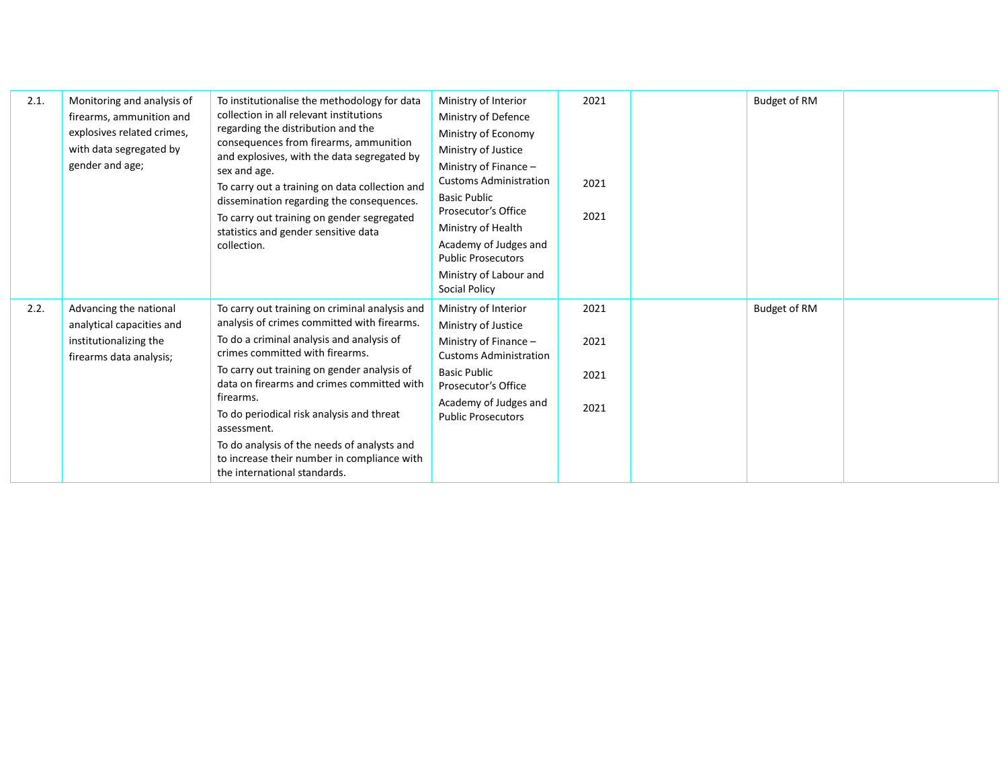| 2.1. | Monitoring and analysis of<br>firearms, ammunition and<br>explosives related crimes,<br>with data segregated by<br>gender and age; | To institutionalise the methodology for data<br>collection in all relevant institutions<br>regarding the distribution and the<br>consequences from firearms, ammunition<br>and explosives, with the data segregated by<br>sex and age.<br>To carry out a training on data collection and<br>dissemination regarding the consequences.<br>To carry out training on gender segregated<br>statistics and gender sensitive data<br>collection.                                        | Ministry of Interior<br>Ministry of Defence<br>Ministry of Economy<br>Ministry of Justice<br>Ministry of Finance $-$<br><b>Customs Administration</b><br><b>Basic Public</b><br>Prosecutor's Office<br>Ministry of Health<br>Academy of Judges and<br><b>Public Prosecutors</b><br>Ministry of Labour and<br>Social Policy | 2021<br>2021<br>2021         | Budget of RM |  |
|------|------------------------------------------------------------------------------------------------------------------------------------|-----------------------------------------------------------------------------------------------------------------------------------------------------------------------------------------------------------------------------------------------------------------------------------------------------------------------------------------------------------------------------------------------------------------------------------------------------------------------------------|----------------------------------------------------------------------------------------------------------------------------------------------------------------------------------------------------------------------------------------------------------------------------------------------------------------------------|------------------------------|--------------|--|
| 2.2. | Advancing the national<br>analytical capacities and<br>institutionalizing the<br>firearms data analysis;                           | To carry out training on criminal analysis and<br>analysis of crimes committed with firearms.<br>To do a criminal analysis and analysis of<br>crimes committed with firearms.<br>To carry out training on gender analysis of<br>data on firearms and crimes committed with<br>firearms.<br>To do periodical risk analysis and threat<br>assessment.<br>To do analysis of the needs of analysts and<br>to increase their number in compliance with<br>the international standards. | Ministry of Interior<br>Ministry of Justice<br>Ministry of Finance -<br><b>Customs Administration</b><br><b>Basic Public</b><br>Prosecutor's Office<br>Academy of Judges and<br><b>Public Prosecutors</b>                                                                                                                  | 2021<br>2021<br>2021<br>2021 | Budget of RM |  |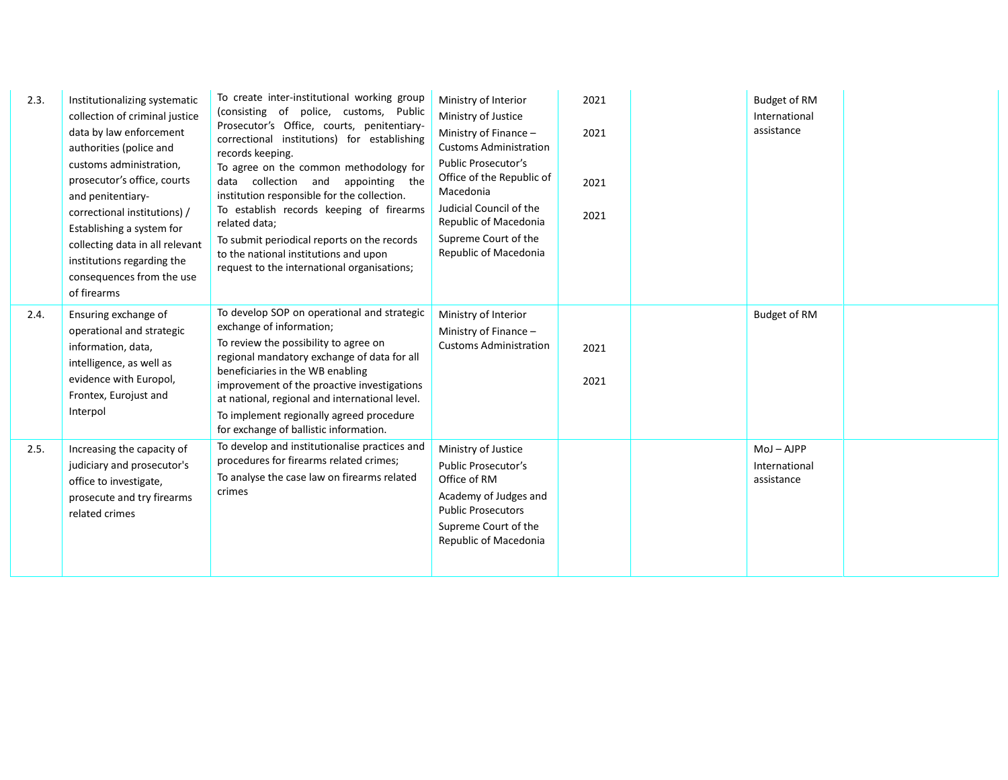| 2.3. | Institutionalizing systematic<br>collection of criminal justice<br>data by law enforcement<br>authorities (police and<br>customs administration,<br>prosecutor's office, courts<br>and penitentiary-<br>correctional institutions) /<br>Establishing a system for<br>collecting data in all relevant<br>institutions regarding the<br>consequences from the use<br>of firearms | To create inter-institutional working group<br>(consisting of police, customs, Public<br>Prosecutor's Office, courts, penitentiary-<br>correctional institutions) for establishing<br>records keeping.<br>To agree on the common methodology for<br>data collection and<br>appointing the<br>institution responsible for the collection.<br>To establish records keeping of firearms<br>related data;<br>To submit periodical reports on the records<br>to the national institutions and upon<br>request to the international organisations; | Ministry of Interior<br>Ministry of Justice<br>Ministry of Finance -<br><b>Customs Administration</b><br><b>Public Prosecutor's</b><br>Office of the Republic of<br>Macedonia<br>Judicial Council of the<br>Republic of Macedonia<br>Supreme Court of the<br>Republic of Macedonia | 2021<br>2021<br>2021<br>2021 | Budget of RM<br>International<br>assistance |  |
|------|--------------------------------------------------------------------------------------------------------------------------------------------------------------------------------------------------------------------------------------------------------------------------------------------------------------------------------------------------------------------------------|----------------------------------------------------------------------------------------------------------------------------------------------------------------------------------------------------------------------------------------------------------------------------------------------------------------------------------------------------------------------------------------------------------------------------------------------------------------------------------------------------------------------------------------------|------------------------------------------------------------------------------------------------------------------------------------------------------------------------------------------------------------------------------------------------------------------------------------|------------------------------|---------------------------------------------|--|
| 2.4. | Ensuring exchange of<br>operational and strategic<br>information, data,<br>intelligence, as well as<br>evidence with Europol,<br>Frontex, Eurojust and<br>Interpol                                                                                                                                                                                                             | To develop SOP on operational and strategic<br>exchange of information;<br>To review the possibility to agree on<br>regional mandatory exchange of data for all<br>beneficiaries in the WB enabling<br>improvement of the proactive investigations<br>at national, regional and international level.<br>To implement regionally agreed procedure<br>for exchange of ballistic information.                                                                                                                                                   | Ministry of Interior<br>Ministry of Finance -<br><b>Customs Administration</b>                                                                                                                                                                                                     | 2021<br>2021                 | Budget of RM                                |  |
| 2.5. | Increasing the capacity of<br>judiciary and prosecutor's<br>office to investigate,<br>prosecute and try firearms<br>related crimes                                                                                                                                                                                                                                             | To develop and institutionalise practices and<br>procedures for firearms related crimes;<br>To analyse the case law on firearms related<br>crimes                                                                                                                                                                                                                                                                                                                                                                                            | Ministry of Justice<br>Public Prosecutor's<br>Office of RM<br>Academy of Judges and<br><b>Public Prosecutors</b><br>Supreme Court of the<br>Republic of Macedonia                                                                                                                  |                              | $Moj - AJPP$<br>International<br>assistance |  |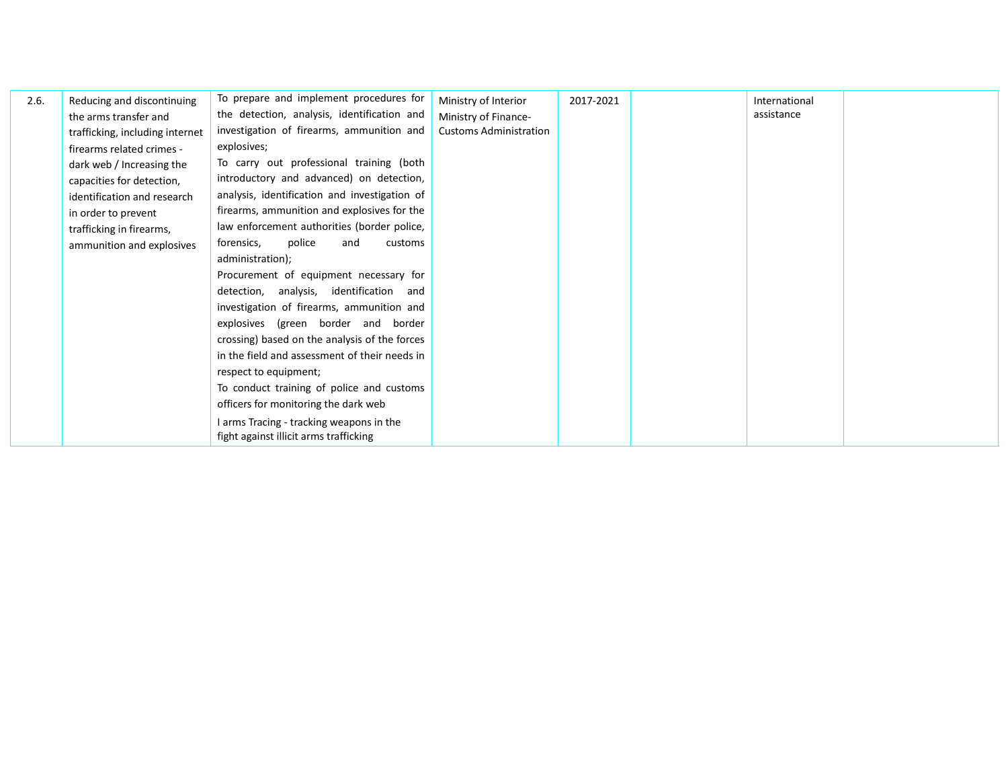| 2.6. | Reducing and discontinuing      | To prepare and implement procedures for       | Ministry of Interior          | 2017-2021 | International |  |
|------|---------------------------------|-----------------------------------------------|-------------------------------|-----------|---------------|--|
|      | the arms transfer and           | the detection, analysis, identification and   | Ministry of Finance-          |           | assistance    |  |
|      | trafficking, including internet | investigation of firearms, ammunition and     | <b>Customs Administration</b> |           |               |  |
|      | firearms related crimes -       | explosives;                                   |                               |           |               |  |
|      | dark web / Increasing the       | To carry out professional training (both      |                               |           |               |  |
|      | capacities for detection,       | introductory and advanced) on detection,      |                               |           |               |  |
|      | identification and research     | analysis, identification and investigation of |                               |           |               |  |
|      | in order to prevent             | firearms, ammunition and explosives for the   |                               |           |               |  |
|      | trafficking in firearms,        | law enforcement authorities (border police,   |                               |           |               |  |
|      | ammunition and explosives       | forensics,<br>police<br>and<br>customs        |                               |           |               |  |
|      |                                 | administration);                              |                               |           |               |  |
|      |                                 | Procurement of equipment necessary for        |                               |           |               |  |
|      |                                 | detection, analysis, identification and       |                               |           |               |  |
|      |                                 | investigation of firearms, ammunition and     |                               |           |               |  |
|      |                                 | explosives (green border and border           |                               |           |               |  |
|      |                                 | crossing) based on the analysis of the forces |                               |           |               |  |
|      |                                 | in the field and assessment of their needs in |                               |           |               |  |
|      |                                 | respect to equipment;                         |                               |           |               |  |
|      |                                 | To conduct training of police and customs     |                               |           |               |  |
|      |                                 | officers for monitoring the dark web          |                               |           |               |  |
|      |                                 | I arms Tracing - tracking weapons in the      |                               |           |               |  |
|      |                                 | fight against illicit arms trafficking        |                               |           |               |  |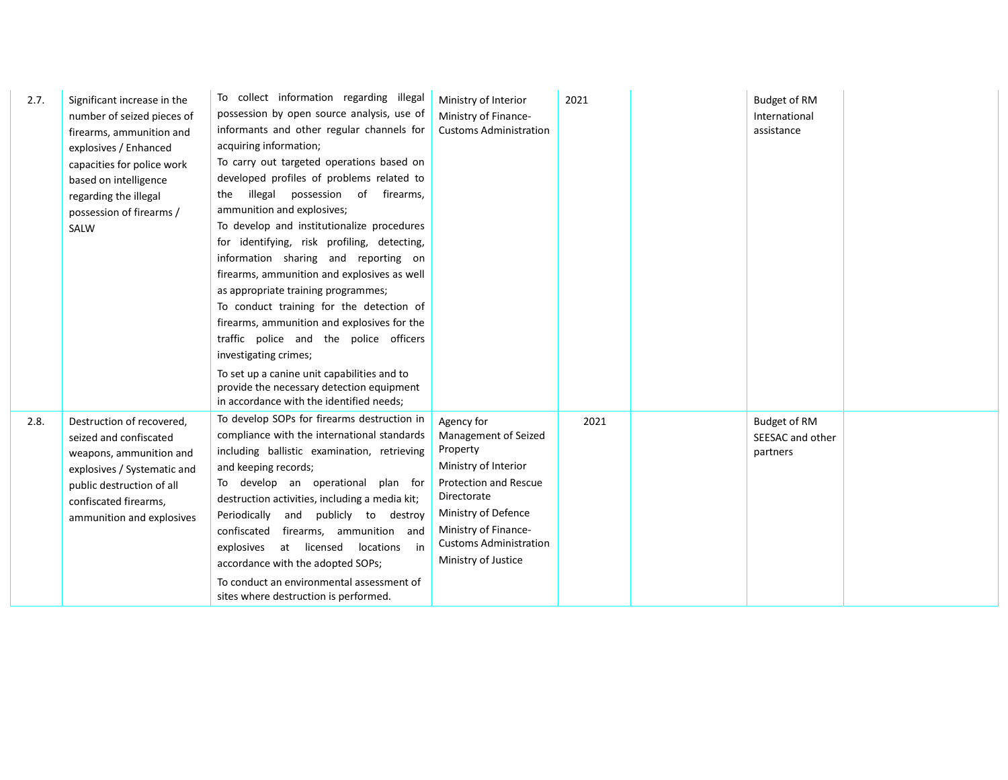| 2.7. | Significant increase in the<br>number of seized pieces of<br>firearms, ammunition and<br>explosives / Enhanced<br>capacities for police work<br>based on intelligence<br>regarding the illegal<br>possession of firearms /<br>SALW | To collect information regarding illegal<br>possession by open source analysis, use of<br>informants and other regular channels for<br>acquiring information;<br>To carry out targeted operations based on<br>developed profiles of problems related to<br>illegal possession of firearms,<br>the<br>ammunition and explosives;<br>To develop and institutionalize procedures<br>for identifying, risk profiling, detecting,<br>information sharing and reporting on<br>firearms, ammunition and explosives as well<br>as appropriate training programmes;<br>To conduct training for the detection of<br>firearms, ammunition and explosives for the<br>traffic police and the police officers<br>investigating crimes;<br>To set up a canine unit capabilities and to<br>provide the necessary detection equipment<br>in accordance with the identified needs; | Ministry of Interior<br>Ministry of Finance-<br><b>Customs Administration</b>                                                                                                                                                | 2021 | <b>Budget of RM</b><br>International<br>assistance  |  |
|------|------------------------------------------------------------------------------------------------------------------------------------------------------------------------------------------------------------------------------------|------------------------------------------------------------------------------------------------------------------------------------------------------------------------------------------------------------------------------------------------------------------------------------------------------------------------------------------------------------------------------------------------------------------------------------------------------------------------------------------------------------------------------------------------------------------------------------------------------------------------------------------------------------------------------------------------------------------------------------------------------------------------------------------------------------------------------------------------------------------|------------------------------------------------------------------------------------------------------------------------------------------------------------------------------------------------------------------------------|------|-----------------------------------------------------|--|
| 2.8. | Destruction of recovered,<br>seized and confiscated<br>weapons, ammunition and<br>explosives / Systematic and<br>public destruction of all<br>confiscated firearms,<br>ammunition and explosives                                   | To develop SOPs for firearms destruction in<br>compliance with the international standards<br>including ballistic examination, retrieving<br>and keeping records;<br>To develop an operational plan for<br>destruction activities, including a media kit;<br>Periodically<br>and publicly to destroy<br>confiscated firearms, ammunition and<br>explosives<br>at licensed<br>locations in<br>accordance with the adopted SOPs;<br>To conduct an environmental assessment of<br>sites where destruction is performed.                                                                                                                                                                                                                                                                                                                                             | Agency for<br>Management of Seized<br>Property<br>Ministry of Interior<br><b>Protection and Rescue</b><br>Directorate<br>Ministry of Defence<br>Ministry of Finance-<br><b>Customs Administration</b><br>Ministry of Justice | 2021 | <b>Budget of RM</b><br>SEESAC and other<br>partners |  |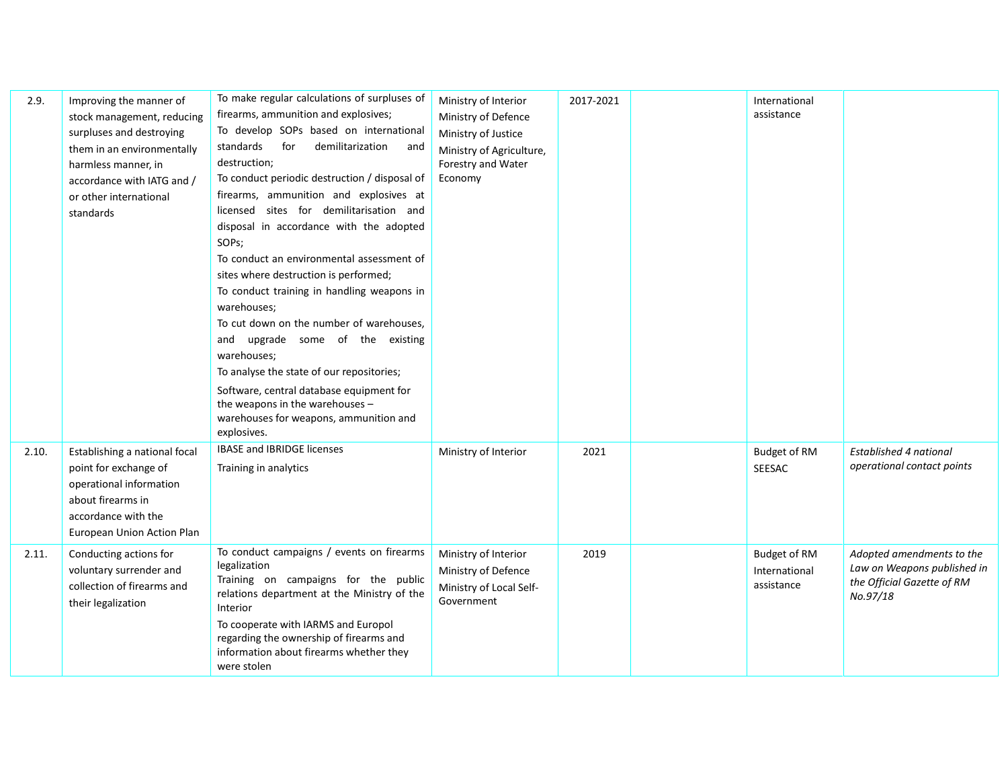| 2.9.  | Improving the manner of<br>stock management, reducing<br>surpluses and destroying<br>them in an environmentally<br>harmless manner, in<br>accordance with IATG and /<br>or other international<br>standards | To make regular calculations of surpluses of<br>firearms, ammunition and explosives;<br>To develop SOPs based on international<br>standards<br>for<br>demilitarization<br>and<br>destruction;<br>To conduct periodic destruction / disposal of<br>firearms, ammunition and explosives at<br>licensed sites for demilitarisation and<br>disposal in accordance with the adopted<br>SOPs;<br>To conduct an environmental assessment of<br>sites where destruction is performed;<br>To conduct training in handling weapons in<br>warehouses;<br>To cut down on the number of warehouses,<br>and upgrade some of the existing<br>warehouses;<br>To analyse the state of our repositories;<br>Software, central database equipment for<br>the weapons in the warehouses -<br>warehouses for weapons, ammunition and<br>explosives. | Ministry of Interior<br>Ministry of Defence<br>Ministry of Justice<br>Ministry of Agriculture,<br>Forestry and Water<br>Economy | 2017-2021 | International<br>assistance                        |                                                                                                    |
|-------|-------------------------------------------------------------------------------------------------------------------------------------------------------------------------------------------------------------|--------------------------------------------------------------------------------------------------------------------------------------------------------------------------------------------------------------------------------------------------------------------------------------------------------------------------------------------------------------------------------------------------------------------------------------------------------------------------------------------------------------------------------------------------------------------------------------------------------------------------------------------------------------------------------------------------------------------------------------------------------------------------------------------------------------------------------|---------------------------------------------------------------------------------------------------------------------------------|-----------|----------------------------------------------------|----------------------------------------------------------------------------------------------------|
| 2.10. | Establishing a national focal<br>point for exchange of<br>operational information<br>about firearms in<br>accordance with the<br>European Union Action Plan                                                 | <b>IBASE and IBRIDGE licenses</b><br>Training in analytics                                                                                                                                                                                                                                                                                                                                                                                                                                                                                                                                                                                                                                                                                                                                                                     | Ministry of Interior                                                                                                            | 2021      | <b>Budget of RM</b><br>SEESAC                      | Established 4 national<br>operational contact points                                               |
| 2.11. | Conducting actions for<br>voluntary surrender and<br>collection of firearms and<br>their legalization                                                                                                       | To conduct campaigns / events on firearms<br>legalization<br>Training on campaigns for the public<br>relations department at the Ministry of the<br>Interior<br>To cooperate with IARMS and Europol<br>regarding the ownership of firearms and<br>information about firearms whether they<br>were stolen                                                                                                                                                                                                                                                                                                                                                                                                                                                                                                                       | Ministry of Interior<br>Ministry of Defence<br>Ministry of Local Self-<br>Government                                            | 2019      | <b>Budget of RM</b><br>International<br>assistance | Adopted amendments to the<br>Law on Weapons published in<br>the Official Gazette of RM<br>No.97/18 |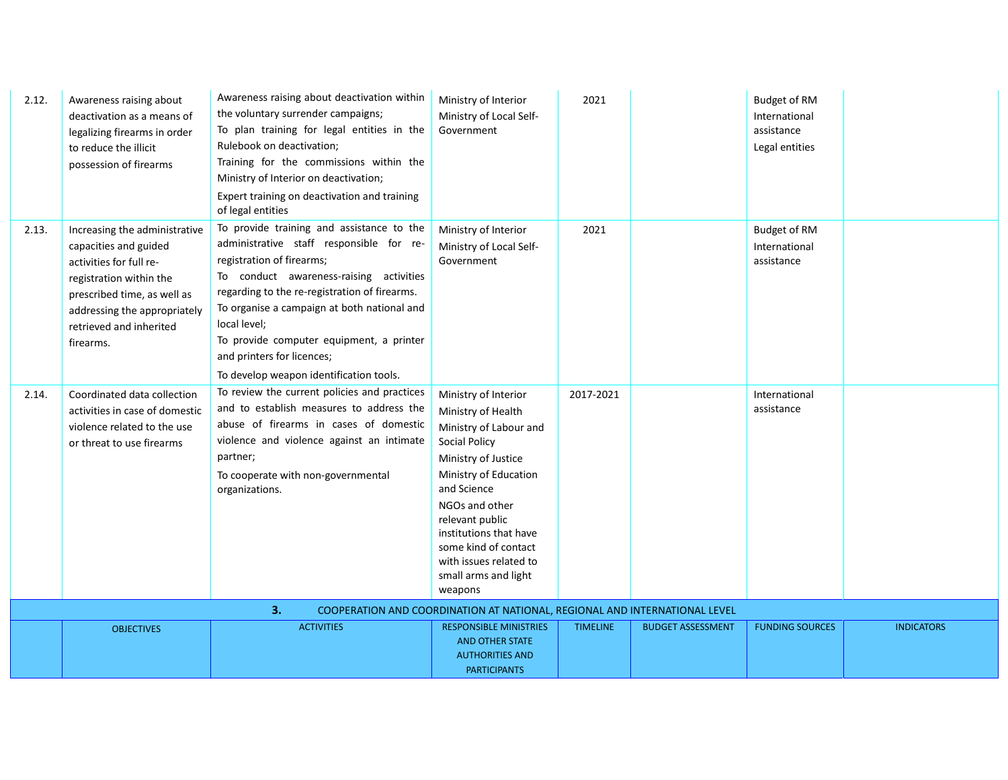| 2.12. | Awareness raising about<br>deactivation as a means of<br>legalizing firearms in order<br>to reduce the illicit<br>possession of firearms                                                                            | Awareness raising about deactivation within<br>the voluntary surrender campaigns;<br>To plan training for legal entities in the<br>Rulebook on deactivation;<br>Training for the commissions within the<br>Ministry of Interior on deactivation;<br>Expert training on deactivation and training<br>of legal entities                                                                              | Ministry of Interior<br>Ministry of Local Self-<br>Government                                                                                                                                                                                                                                                   | 2021            |                          | <b>Budget of RM</b><br>International<br>assistance<br>Legal entities |                   |
|-------|---------------------------------------------------------------------------------------------------------------------------------------------------------------------------------------------------------------------|----------------------------------------------------------------------------------------------------------------------------------------------------------------------------------------------------------------------------------------------------------------------------------------------------------------------------------------------------------------------------------------------------|-----------------------------------------------------------------------------------------------------------------------------------------------------------------------------------------------------------------------------------------------------------------------------------------------------------------|-----------------|--------------------------|----------------------------------------------------------------------|-------------------|
| 2.13. | Increasing the administrative<br>capacities and guided<br>activities for full re-<br>registration within the<br>prescribed time, as well as<br>addressing the appropriately<br>retrieved and inherited<br>firearms. | To provide training and assistance to the<br>administrative staff responsible for re-<br>registration of firearms;<br>To conduct awareness-raising activities<br>regarding to the re-registration of firearms.<br>To organise a campaign at both national and<br>local level;<br>To provide computer equipment, a printer<br>and printers for licences;<br>To develop weapon identification tools. | Ministry of Interior<br>Ministry of Local Self-<br>Government                                                                                                                                                                                                                                                   | 2021            |                          | <b>Budget of RM</b><br>International<br>assistance                   |                   |
| 2.14. | Coordinated data collection<br>activities in case of domestic<br>violence related to the use<br>or threat to use firearms                                                                                           | To review the current policies and practices<br>and to establish measures to address the<br>abuse of firearms in cases of domestic<br>violence and violence against an intimate<br>partner;<br>To cooperate with non-governmental<br>organizations.                                                                                                                                                | Ministry of Interior<br>Ministry of Health<br>Ministry of Labour and<br><b>Social Policy</b><br>Ministry of Justice<br>Ministry of Education<br>and Science<br>NGOs and other<br>relevant public<br>institutions that have<br>some kind of contact<br>with issues related to<br>small arms and light<br>weapons | 2017-2021       |                          | International<br>assistance                                          |                   |
|       |                                                                                                                                                                                                                     | 3.                                                                                                                                                                                                                                                                                                                                                                                                 | COOPERATION AND COORDINATION AT NATIONAL, REGIONAL AND INTERNATIONAL LEVEL                                                                                                                                                                                                                                      |                 |                          |                                                                      |                   |
|       | <b>OBJECTIVES</b>                                                                                                                                                                                                   | <b>ACTIVITIES</b>                                                                                                                                                                                                                                                                                                                                                                                  | <b>RESPONSIBLE MINISTRIES</b><br><b>AND OTHER STATE</b><br><b>AUTHORITIES AND</b><br><b>PARTICIPANTS</b>                                                                                                                                                                                                        | <b>TIMELINE</b> | <b>BUDGET ASSESSMENT</b> | <b>FUNDING SOURCES</b>                                               | <b>INDICATORS</b> |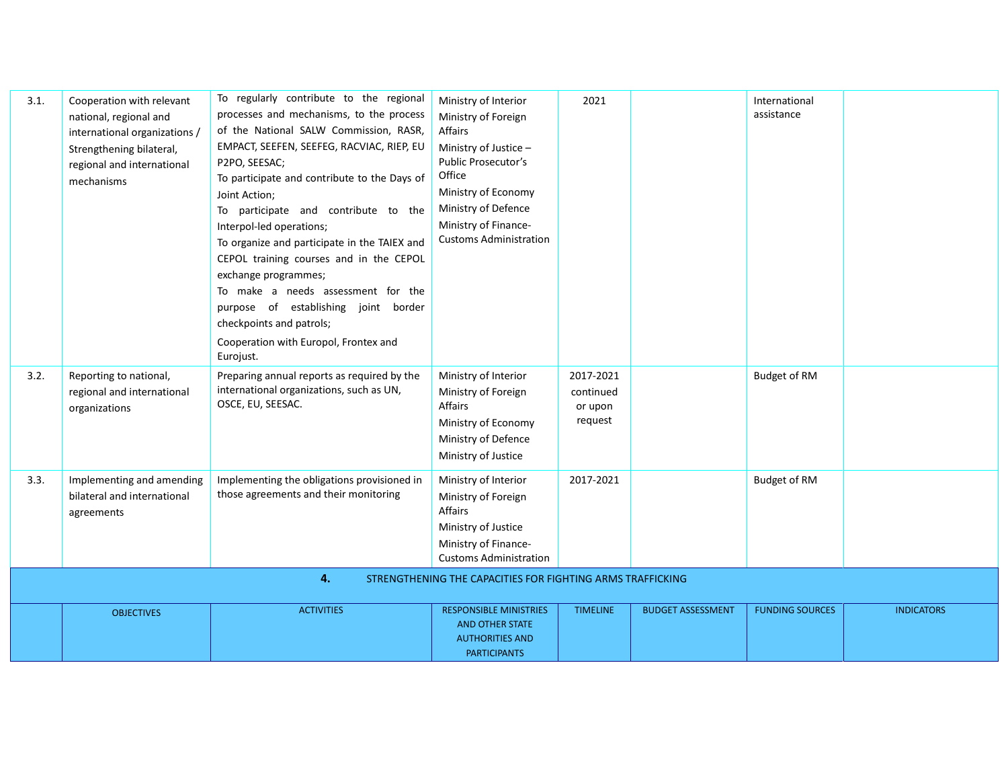| 3.1. | Cooperation with relevant<br>national, regional and<br>international organizations /<br>Strengthening bilateral,<br>regional and international<br>mechanisms | To regularly contribute to the regional<br>processes and mechanisms, to the process<br>of the National SALW Commission, RASR,<br>EMPACT, SEEFEN, SEEFEG, RACVIAC, RIEP, EU<br>P2PO, SEESAC;<br>To participate and contribute to the Days of<br>Joint Action;<br>To participate and contribute to the<br>Interpol-led operations;<br>To organize and participate in the TAIEX and<br>CEPOL training courses and in the CEPOL<br>exchange programmes;<br>To make a needs assessment for the<br>purpose of establishing joint border<br>checkpoints and patrols;<br>Cooperation with Europol, Frontex and<br>Eurojust. | Ministry of Interior<br>Ministry of Foreign<br>Affairs<br>Ministry of Justice -<br>Public Prosecutor's<br>Office<br>Ministry of Economy<br>Ministry of Defence<br>Ministry of Finance-<br><b>Customs Administration</b> | 2021                                         | International<br>assistance |  |
|------|--------------------------------------------------------------------------------------------------------------------------------------------------------------|---------------------------------------------------------------------------------------------------------------------------------------------------------------------------------------------------------------------------------------------------------------------------------------------------------------------------------------------------------------------------------------------------------------------------------------------------------------------------------------------------------------------------------------------------------------------------------------------------------------------|-------------------------------------------------------------------------------------------------------------------------------------------------------------------------------------------------------------------------|----------------------------------------------|-----------------------------|--|
| 3.2. | Reporting to national,<br>regional and international<br>organizations                                                                                        | Preparing annual reports as required by the<br>international organizations, such as UN,<br>OSCE, EU, SEESAC.                                                                                                                                                                                                                                                                                                                                                                                                                                                                                                        | Ministry of Interior<br>Ministry of Foreign<br>Affairs<br>Ministry of Economy<br>Ministry of Defence<br>Ministry of Justice                                                                                             | 2017-2021<br>continued<br>or upon<br>request | Budget of RM                |  |
| 3.3. | Implementing and amending<br>bilateral and international<br>agreements                                                                                       | Implementing the obligations provisioned in<br>those agreements and their monitoring                                                                                                                                                                                                                                                                                                                                                                                                                                                                                                                                | Ministry of Interior<br>Ministry of Foreign<br><b>Affairs</b><br>Ministry of Justice<br>Ministry of Finance-<br><b>Customs Administration</b>                                                                           | 2017-2021                                    | Budget of RM                |  |
|      |                                                                                                                                                              | 4.                                                                                                                                                                                                                                                                                                                                                                                                                                                                                                                                                                                                                  | STRENGTHENING THE CAPACITIES FOR FIGHTING ARMS TRAFFICKING                                                                                                                                                              |                                              |                             |  |
|      |                                                                                                                                                              |                                                                                                                                                                                                                                                                                                                                                                                                                                                                                                                                                                                                                     |                                                                                                                                                                                                                         |                                              |                             |  |

| <b>OBJECTIVES</b> | <b>ACTIVITIES</b> | <b>RESPONSIBLE MINISTRIES</b> | <b>TIMELINE</b> | <b>BUDGET ASSESSMENT</b> | <b>FUNDING SOURCES</b> | <b>INDICATORS</b> |
|-------------------|-------------------|-------------------------------|-----------------|--------------------------|------------------------|-------------------|
|                   |                   | <b>AND OTHER STATE</b>        |                 |                          |                        |                   |
|                   |                   | <b>AUTHORITIES AND</b>        |                 |                          |                        |                   |
|                   |                   | <b>PARTICIPANTS</b>           |                 |                          |                        |                   |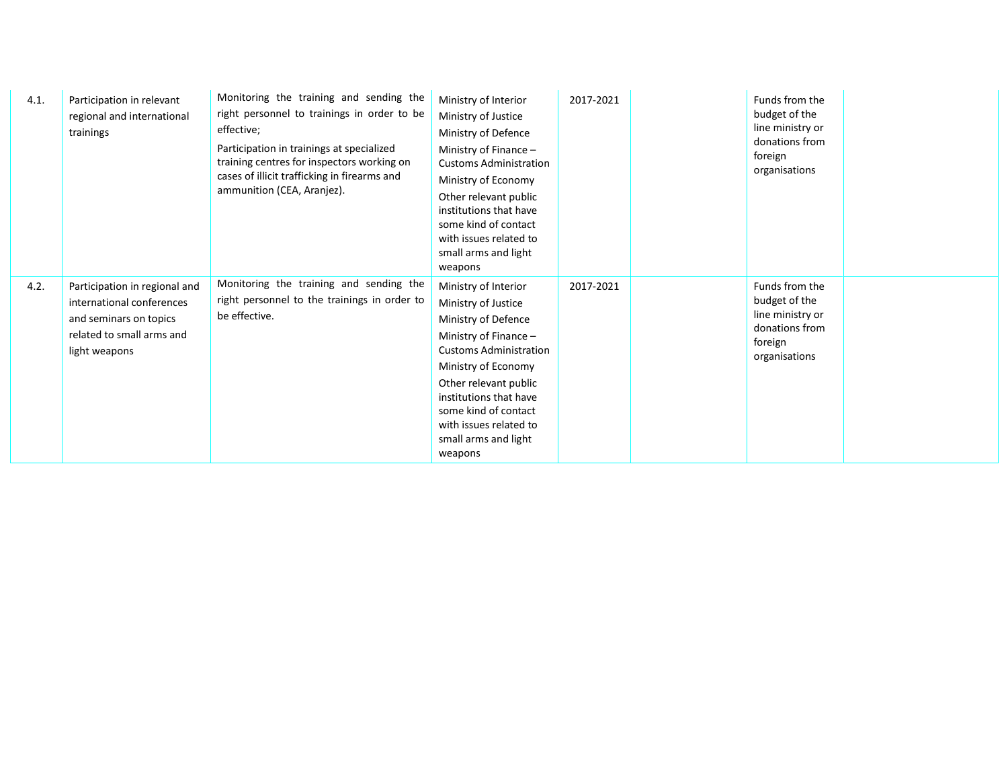| 4.1. | Participation in relevant<br>regional and international<br>trainings                                                               | Monitoring the training and sending the<br>right personnel to trainings in order to be<br>effective;<br>Participation in trainings at specialized<br>training centres for inspectors working on<br>cases of illicit trafficking in firearms and<br>ammunition (CEA, Aranjez). | Ministry of Interior<br>Ministry of Justice<br>Ministry of Defence<br>Ministry of Finance -<br><b>Customs Administration</b><br>Ministry of Economy<br>Other relevant public<br>institutions that have<br>some kind of contact<br>with issues related to<br>small arms and light<br>weapons | 2017-2021 | Funds from the<br>budget of the<br>line ministry or<br>donations from<br>foreign<br>organisations |  |
|------|------------------------------------------------------------------------------------------------------------------------------------|-------------------------------------------------------------------------------------------------------------------------------------------------------------------------------------------------------------------------------------------------------------------------------|---------------------------------------------------------------------------------------------------------------------------------------------------------------------------------------------------------------------------------------------------------------------------------------------|-----------|---------------------------------------------------------------------------------------------------|--|
| 4.2. | Participation in regional and<br>international conferences<br>and seminars on topics<br>related to small arms and<br>light weapons | Monitoring the training and sending the<br>right personnel to the trainings in order to<br>be effective.                                                                                                                                                                      | Ministry of Interior<br>Ministry of Justice<br>Ministry of Defence<br>Ministry of Finance -<br><b>Customs Administration</b><br>Ministry of Economy<br>Other relevant public<br>institutions that have<br>some kind of contact<br>with issues related to<br>small arms and light<br>weapons | 2017-2021 | Funds from the<br>budget of the<br>line ministry or<br>donations from<br>foreign<br>organisations |  |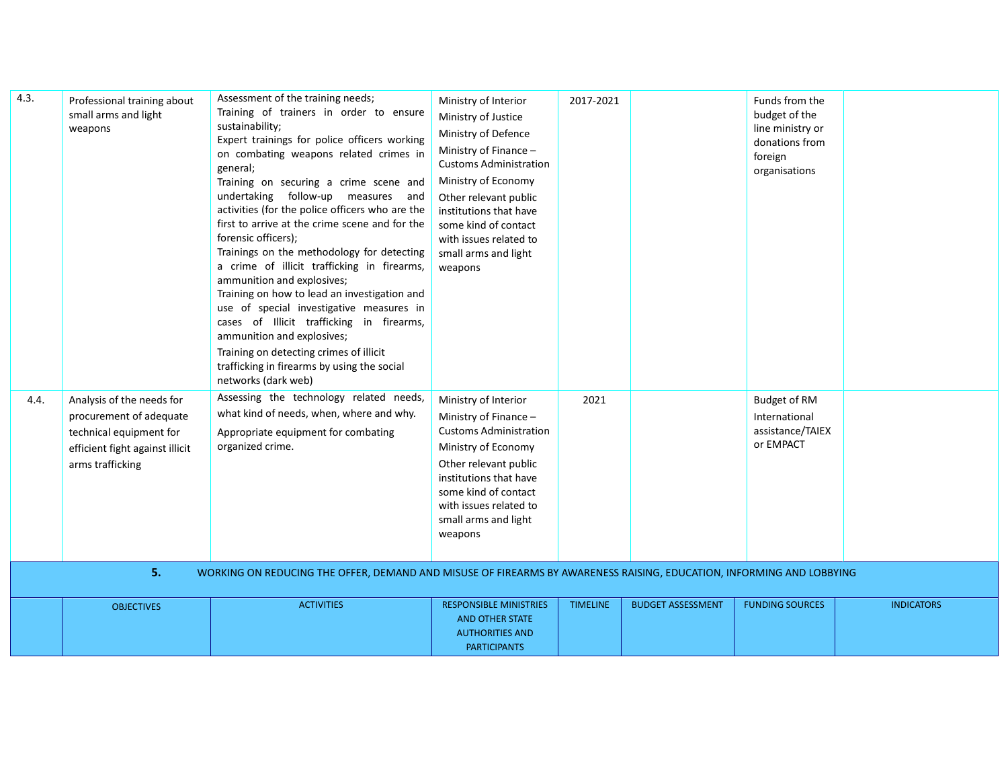| 4.3. | Professional training about<br>small arms and light<br>weapons                                                                               | Assessment of the training needs;<br>Training of trainers in order to ensure<br>sustainability;<br>Expert trainings for police officers working<br>on combating weapons related crimes in<br>general;<br>Training on securing a crime scene and<br>undertaking follow-up measures and<br>activities (for the police officers who are the<br>first to arrive at the crime scene and for the<br>forensic officers);<br>Trainings on the methodology for detecting<br>a crime of illicit trafficking in firearms,<br>ammunition and explosives;<br>Training on how to lead an investigation and<br>use of special investigative measures in<br>cases of Illicit trafficking in firearms,<br>ammunition and explosives;<br>Training on detecting crimes of illicit<br>trafficking in firearms by using the social<br>networks (dark web) | Ministry of Interior<br>Ministry of Justice<br>Ministry of Defence<br>Ministry of Finance -<br><b>Customs Administration</b><br>Ministry of Economy<br>Other relevant public<br>institutions that have<br>some kind of contact<br>with issues related to<br>small arms and light<br>weapons | 2017-2021       |                          | Funds from the<br>budget of the<br>line ministry or<br>donations from<br>foreign<br>organisations |                   |
|------|----------------------------------------------------------------------------------------------------------------------------------------------|--------------------------------------------------------------------------------------------------------------------------------------------------------------------------------------------------------------------------------------------------------------------------------------------------------------------------------------------------------------------------------------------------------------------------------------------------------------------------------------------------------------------------------------------------------------------------------------------------------------------------------------------------------------------------------------------------------------------------------------------------------------------------------------------------------------------------------------|---------------------------------------------------------------------------------------------------------------------------------------------------------------------------------------------------------------------------------------------------------------------------------------------|-----------------|--------------------------|---------------------------------------------------------------------------------------------------|-------------------|
| 4.4. | Analysis of the needs for<br>procurement of adequate<br>technical equipment for<br>efficient fight against illicit<br>arms trafficking<br>5. | Assessing the technology related needs,<br>what kind of needs, when, where and why.<br>Appropriate equipment for combating<br>organized crime.<br>WORKING ON REDUCING THE OFFER, DEMAND AND MISUSE OF FIREARMS BY AWARENESS RAISING, EDUCATION, INFORMING AND LOBBYING                                                                                                                                                                                                                                                                                                                                                                                                                                                                                                                                                               | Ministry of Interior<br>Ministry of Finance -<br><b>Customs Administration</b><br>Ministry of Economy<br>Other relevant public<br>institutions that have<br>some kind of contact<br>with issues related to<br>small arms and light<br>weapons                                               | 2021            |                          | <b>Budget of RM</b><br>International<br>assistance/TAIEX<br>or EMPACT                             |                   |
|      |                                                                                                                                              |                                                                                                                                                                                                                                                                                                                                                                                                                                                                                                                                                                                                                                                                                                                                                                                                                                      |                                                                                                                                                                                                                                                                                             |                 |                          |                                                                                                   |                   |
|      | <b>OBJECTIVES</b>                                                                                                                            | <b>ACTIVITIES</b>                                                                                                                                                                                                                                                                                                                                                                                                                                                                                                                                                                                                                                                                                                                                                                                                                    | <b>RESPONSIBLE MINISTRIES</b><br><b>AND OTHER STATE</b><br><b>AUTHORITIES AND</b><br><b>PARTICIPANTS</b>                                                                                                                                                                                    | <b>TIMELINE</b> | <b>BUDGET ASSESSMENT</b> | <b>FUNDING SOURCES</b>                                                                            | <b>INDICATORS</b> |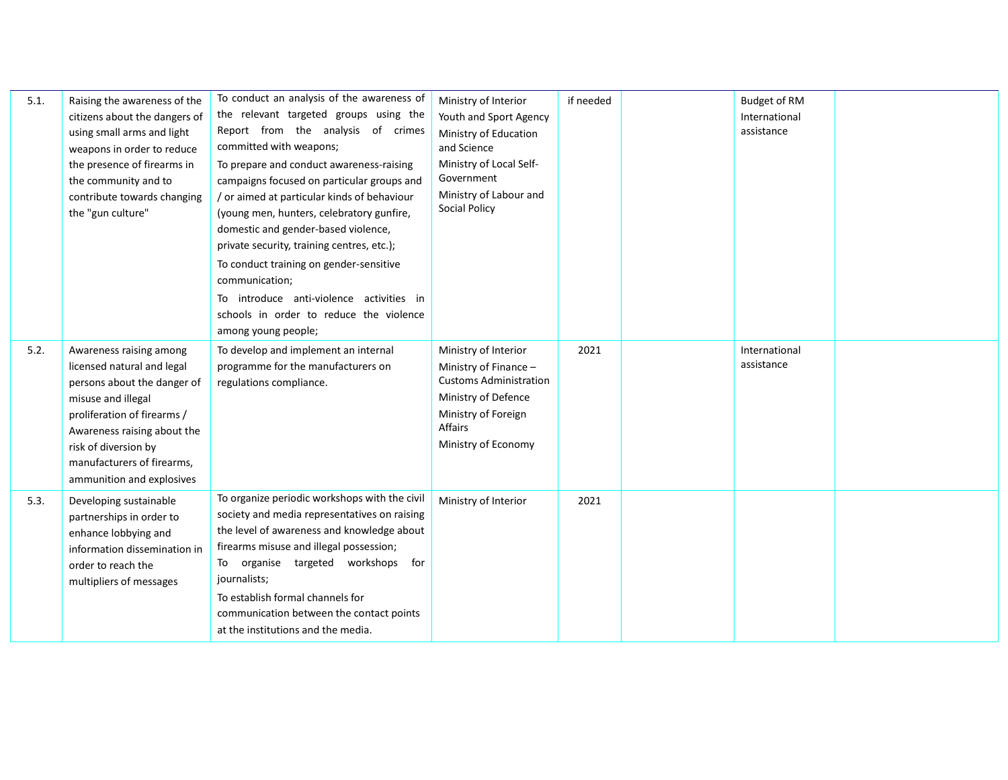| 5.1. | Raising the awareness of the<br>citizens about the dangers of<br>using small arms and light<br>weapons in order to reduce<br>the presence of firearms in<br>the community and to<br>contribute towards changing<br>the "gun culture"                        | To conduct an analysis of the awareness of<br>the relevant targeted groups using the<br>Report from the analysis of crimes<br>committed with weapons;<br>To prepare and conduct awareness-raising<br>campaigns focused on particular groups and<br>/ or aimed at particular kinds of behaviour<br>(young men, hunters, celebratory gunfire,<br>domestic and gender-based violence,<br>private security, training centres, etc.);<br>To conduct training on gender-sensitive<br>communication;<br>To introduce anti-violence activities in<br>schools in order to reduce the violence<br>among young people; | Ministry of Interior<br>Youth and Sport Agency<br>Ministry of Education<br>and Science<br>Ministry of Local Self-<br>Government<br>Ministry of Labour and<br><b>Social Policy</b> | if needed | <b>Budget of RM</b><br>International<br>assistance |  |
|------|-------------------------------------------------------------------------------------------------------------------------------------------------------------------------------------------------------------------------------------------------------------|-------------------------------------------------------------------------------------------------------------------------------------------------------------------------------------------------------------------------------------------------------------------------------------------------------------------------------------------------------------------------------------------------------------------------------------------------------------------------------------------------------------------------------------------------------------------------------------------------------------|-----------------------------------------------------------------------------------------------------------------------------------------------------------------------------------|-----------|----------------------------------------------------|--|
| 5.2. | Awareness raising among<br>licensed natural and legal<br>persons about the danger of<br>misuse and illegal<br>proliferation of firearms /<br>Awareness raising about the<br>risk of diversion by<br>manufacturers of firearms,<br>ammunition and explosives | To develop and implement an internal<br>programme for the manufacturers on<br>regulations compliance.                                                                                                                                                                                                                                                                                                                                                                                                                                                                                                       | Ministry of Interior<br>Ministry of Finance -<br><b>Customs Administration</b><br>Ministry of Defence<br>Ministry of Foreign<br>Affairs<br>Ministry of Economy                    | 2021      | International<br>assistance                        |  |
| 5.3. | Developing sustainable<br>partnerships in order to<br>enhance lobbying and<br>information dissemination in<br>order to reach the<br>multipliers of messages                                                                                                 | To organize periodic workshops with the civil<br>society and media representatives on raising<br>the level of awareness and knowledge about<br>firearms misuse and illegal possession;<br>To organise targeted workshops for<br>journalists;<br>To establish formal channels for<br>communication between the contact points<br>at the institutions and the media.                                                                                                                                                                                                                                          | Ministry of Interior                                                                                                                                                              | 2021      |                                                    |  |